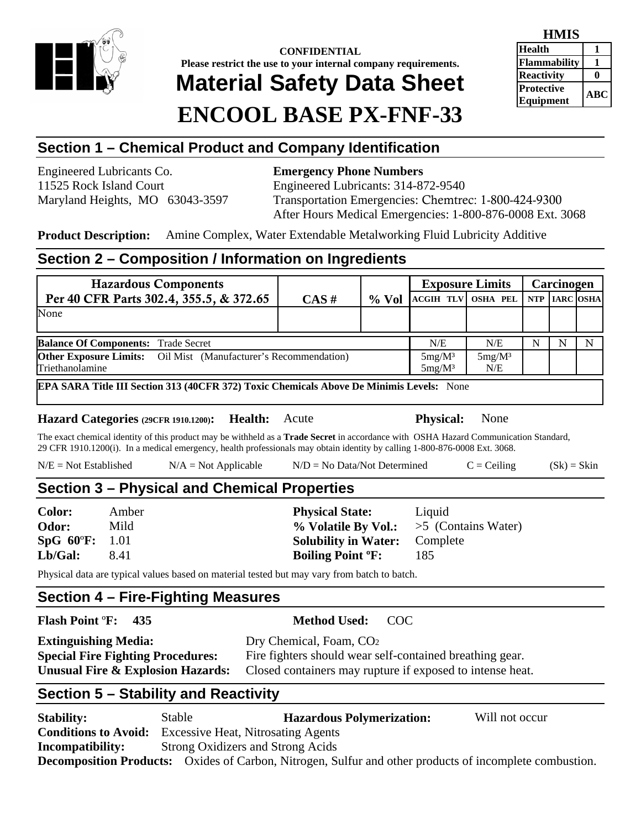

# **CONFIDENTIAL Please restrict the use to your internal company requirements. Material Safety Data Sheet ENCOOL BASE PX-FNF-33**

| HMIS              |           |  |
|-------------------|-----------|--|
| <b>Health</b>     |           |  |
| Flammability      |           |  |
| <b>Reactivity</b> |           |  |
| <b>Protective</b> | $\bf ABC$ |  |
| Equipment         |           |  |

# **Section 1 – Chemical Product and Company Identification**

Engineered Lubricants Co. **Emergency Phone Numbers** 

11525 Rock Island Court Engineered Lubricants: 314-872-9540 Maryland Heights, MO 63043-3597 Transportation Emergencies: Chemtrec: 1-800-424-9300 After Hours Medical Emergencies: 1-800-876-0008 Ext. 3068

**Product Description:** Amine Complex, Water Extendable Metalworking Fluid Lubricity Additive

## **Section 2 – Composition / Information on Ingredients**

|                                                                        |          | <b>Exposure Limits</b> |                               | Carcinogen |  |               |
|------------------------------------------------------------------------|----------|------------------------|-------------------------------|------------|--|---------------|
| $CAS \#$                                                               | $\%$ Vol | <b>ACGIH TLV</b>       | <b>OSHA PEL</b>               |            |  |               |
|                                                                        |          |                        |                               |            |  |               |
|                                                                        |          |                        |                               |            |  |               |
| <b>Balance Of Components: Trade Secret</b>                             |          |                        | N/E                           | N          |  | N             |
| <b>Other Exposure Limits:</b> Oil Mist (Manufacturer's Recommendation) |          |                        | $5mg/M^3$                     |            |  |               |
| Triethanolamine                                                        |          |                        | N/E                           |            |  |               |
|                                                                        |          |                        | N/E<br>$5mg/M^3$<br>$5mg/M^3$ |            |  | NTP IARC OSHA |

**EPA SARA Title III Section 313 (40CFR 372) Toxic Chemicals Above De Minimis Levels:** None

**Hazard Categories (29CFR 1910.1200): Health:** Acute **Physical:** None

The exact chemical identity of this product may be withheld as a **Trade Secret** in accordance with OSHA Hazard Communication Standard, 29 CFR 1910.1200(i). In a medical emergency, health professionals may obtain identity by calling 1-800-876-0008 Ext. 3068.

 $N/E = Not Established$   $N/A = Not Applied$   $N/D = No Data/Not Determined$   $C = Ceiling$   $(Sk) = Skin$ 

## **Section 3 – Physical and Chemical Properties**

**Color:** Amber **Physical State:** Liquid **Odor:** Mild **1988** Mild **1988** Marriage Multiple By **Volatile By Vol.:**  $>$  5 (Contains Water) **SpG 60**º**F:** 1.01 **Solubility in Water:** Complete **Lb/Gal:** 8.41 **Boiling Point ºF:** 185

Physical data are typical values based on material tested but may vary from batch to batch.

## **Section 4 – Fire-Fighting Measures**

### **Flash Point** º**F: 435 Method Used:** COC

**Extinguishing Media:** Dry Chemical, Foam, CO<sub>2</sub>

**Special Fire Fighting Procedures:** Fire fighters should wear self-contained breathing gear. **Unusual Fire & Explosion Hazards:** Closed containers may rupture if exposed to intense heat.

# **Section 5 – Stability and Reactivity**

**Stability:** Stable **Hazardous Polymerization:** Will not occur **Conditions to Avoid:** Excessive Heat, Nitrosating Agents **Incompatibility:** Strong Oxidizers and Strong Acids **Decomposition Products:** Oxides of Carbon, Nitrogen, Sulfur and other products of incomplete combustion.